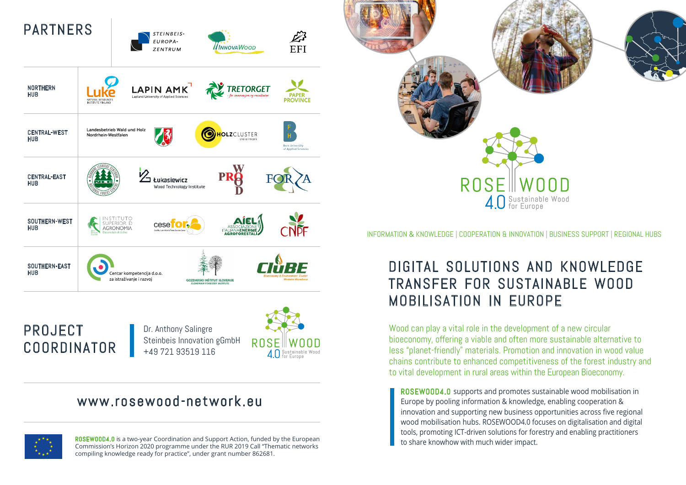



Dr. Anthony Salingre Steinbeis Innovation gGmbH +49 721 93519 116



## www.rosewood-network.eu



ROSEWOOD4.0 is a two-year Coordination and Support Action, funded by the European to share knowhow with much wider impact. Commission's Horizon 2020 programme under the RUR 2019 Call "Thematic networks compiling knowledge ready for practice", under grant number 862681.



#### INFORMATION & KNOWLEDGE | COOPERATION & INNOVATION | BUSINESS SUPPORT | REGIONAL HUBS

## DIGITAL SOLUTIONS AND KNOWLEDGE TRANSFER FOR SUSTAINABLE WOOD MOBILISATION IN EUROPE

Wood can play a vital role in the development of a new circular bioeconomy, offering a viable and often more sustainable alternative to less "planet-friendly" materials. Promotion and innovation in wood value chains contribute to enhanced competitiveness of the forest industry and to vital development in rural areas within the European Bioeconomy.

ROSEWOOD4.0 supports and promotes sustainable wood mobilisation in Europe by pooling information & knowledge, enabling cooperation & innovation and supporting new business opportunities across five regional wood mobilisation hubs. ROSEWOOD4.0 focuses on digitalisation and digital tools, promoting ICT-driven solutions for forestry and enabling practitioners